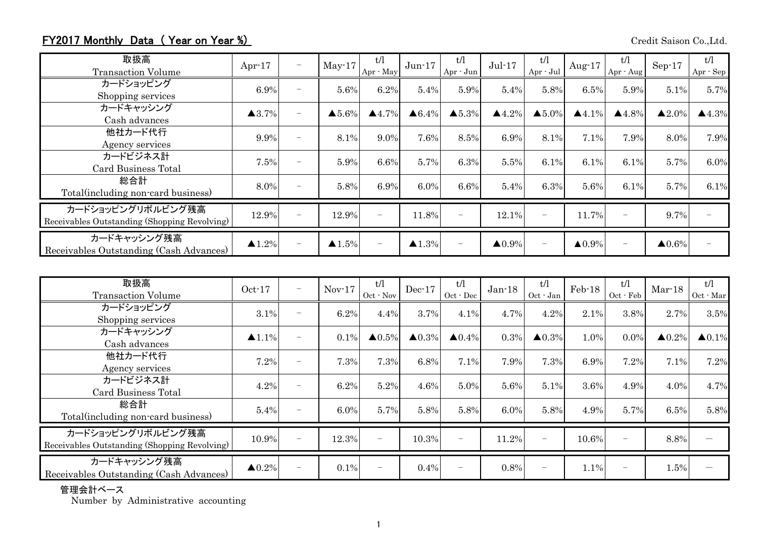## FY2017 Monthly Data (Year on Year %) Credit Saison Co.,Ltd.

| 取扱高<br><b>Transaction Volume</b>                                  | Apr $-17$             | $\overline{\phantom{0}}$ | $May-17$               | t/l<br>Apr · May      | $Jun-17$               | t/l<br>Apr - Jun         | $Jul-17$               | t/l<br>Apr - Jul         | Aug- $17$              | t/l<br>Apr - Aug         | $Sep-17$               | t/l<br>Apr - Sep       |
|-------------------------------------------------------------------|-----------------------|--------------------------|------------------------|-----------------------|------------------------|--------------------------|------------------------|--------------------------|------------------------|--------------------------|------------------------|------------------------|
| カードショッピング<br>Shopping services                                    | 6.9%                  | $\overline{\phantom{0}}$ | 5.6%                   | 6.2%                  | 5.4%                   | 5.9%                     | 5.4%                   | 5.8%                     | 6.5%                   | 5.9%                     | 5.1%                   | 5.7%                   |
| カードキャッシング<br>Cash advances                                        | $\blacktriangle$ 3.7% | $\overline{\phantom{0}}$ | $\blacktriangle 5.6\%$ | $\blacktriangle$ 4.7% | $\triangle 6.4\%$      | $\blacktriangle 5.3\%$   | $\blacktriangle 4.2\%$ | $\triangle 5.0\%$        | $\blacktriangle$ 4.1%  | $\blacktriangle 4.8\%$   | $\blacktriangle 2.0\%$ | $\blacktriangle 4.3\%$ |
| 他社カード代行<br>Agency services                                        | 9.9%                  | $\overline{\phantom{0}}$ | 8.1%                   | 9.0%                  | 7.6%                   | 8.5%                     | 6.9%                   | 8.1%                     | 7.1%                   | 7.9%                     | 8.0%                   | 7.9%                   |
| カードビジネス計<br>Card Business Total                                   | 7.5%                  | $\overline{\phantom{a}}$ | 5.9%                   | 6.6%                  | 5.7%                   | 6.3%                     | 5.5%                   | 6.1%                     | 6.1%                   | 6.1%                     | 5.7%                   | 6.0%                   |
| 総合計<br>Total (including non-card business)                        | 8.0%                  | $\overline{\phantom{0}}$ | 5.8%                   | 6.9%                  | $6.0\%$                | 6.6%                     | 5.4%                   | 6.3%                     | 5.6%                   | 6.1%                     | 5.7%                   | 6.1%                   |
| カードショッピングリボルビング残高<br>Receivables Outstanding (Shopping Revolving) | 12.9%                 | $\sim$                   | 12.9%                  |                       | 11.8%                  | $\overline{\phantom{0}}$ | 12.1%                  |                          | 11.7%                  | $\overline{\phantom{0}}$ | 9.7%                   |                        |
| カードキャッシング残高<br>Receivables Outstanding (Cash Advances)            | $\blacktriangle$ 1.2% | $\overline{\phantom{0}}$ | $\blacktriangle 1.5\%$ |                       | $\blacktriangle 1.3\%$ | $\overline{\phantom{m}}$ | $\blacktriangle 0.9\%$ | $\overline{\phantom{a}}$ | $\blacktriangle 0.9\%$ | $\qquad \qquad -$        | $\blacktriangle 0.6\%$ |                        |

| 取扱高<br><b>Transaction Volume</b>                                  | $Oct-17$               | $\overline{\phantom{m}}$ | $Nov-17$ | t/l<br>$Oct$ - $Nov$ | $Dec-17$          | t/1<br>$Oct - Dec$       | $Jan-18$ | t/l<br>Oct - Jan  | $Feb-18$ | t/1<br>Oct - Feb         | $Mar-18$               | t/l<br>Oct - Mar  |
|-------------------------------------------------------------------|------------------------|--------------------------|----------|----------------------|-------------------|--------------------------|----------|-------------------|----------|--------------------------|------------------------|-------------------|
| カードショッピング<br>Shopping services                                    | 3.1%                   | $\overline{\phantom{a}}$ | 6.2%     | 4.4%                 | 3.7%              | 4.1%                     | 4.7%     | 4.2%              | 2.1%     | 3.8%                     | 2.7%                   | 3.5%              |
| カードキャッシング<br>Cash advances                                        | $\blacktriangle$ 1.1%  | $\overline{\phantom{0}}$ | $0.1\%$  | $\triangle 0.5\%$    | $\triangle 0.3\%$ | $\triangle 0.4\%$        | 0.3%     | $\triangle 0.3\%$ | 1.0%     | 0.0%                     | $\blacktriangle 0.2\%$ | $\triangle 0.1\%$ |
| 他社カード代行<br>Agency services                                        | 7.2%                   | $\overline{\phantom{m}}$ | 7.3%     | 7.3%                 | 6.8%              | 7.1%                     | 7.9%     | 7.3%              | 6.9%     | 7.2%                     | 7.1%                   | 7.2%              |
| カードビジネス計<br>Card Business Total                                   | 4.2%                   | $\overline{\phantom{0}}$ | 6.2%     | 5.2%                 | 4.6%              | 5.0%                     | 5.6%     | 5.1%              | 3.6%     | 4.9%                     | 4.0%                   | 4.7%              |
| 総合計<br>Total (including non-card business)                        | 5.4%                   | ۰                        | 6.0%     | 5.7%                 | 5.8%              | 5.8%                     | 6.0%     | 5.8%              | 4.9%     | 5.7%                     | 6.5%                   | 5.8%              |
| カードショッピングリボルビング残高<br>Receivables Outstanding (Shopping Revolving) | 10.9%                  |                          | 12.3%    |                      | 10.3%             | $\overline{\phantom{a}}$ | 11.2%    | $\qquad \qquad -$ | 10.6%    | $\overline{\phantom{0}}$ | 8.8%                   |                   |
| カードキャッシング残高<br>Receivables Outstanding (Cash Advances)            | $\blacktriangle 0.2\%$ |                          | $0.1\%$  |                      | 0.4%              |                          | 0.8%     |                   | 1.1%     | $\overline{\phantom{0}}$ | 1.5%                   |                   |

## 管理会計ベース

Number by Administrative accounting